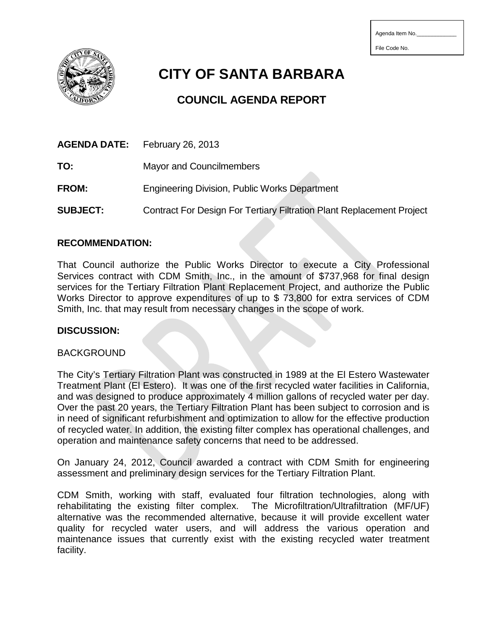| Agenda Item No. |  |  |  |  |  |  |
|-----------------|--|--|--|--|--|--|
|-----------------|--|--|--|--|--|--|

File Code No.



**CITY OF SANTA BARBARA**

# **COUNCIL AGENDA REPORT**

|                 | <b>AGENDA DATE:</b> February 26, 2013                                        |
|-----------------|------------------------------------------------------------------------------|
| TO:             | <b>Mayor and Councilmembers</b>                                              |
| <b>FROM:</b>    | <b>Engineering Division, Public Works Department</b>                         |
| <b>SUBJECT:</b> | <b>Contract For Design For Tertiary Filtration Plant Replacement Project</b> |

# **RECOMMENDATION:**

That Council authorize the Public Works Director to execute a City Professional Services contract with CDM Smith, Inc., in the amount of \$737,968 for final design services for the Tertiary Filtration Plant Replacement Project, and authorize the Public Works Director to approve expenditures of up to \$ 73,800 for extra services of CDM Smith, Inc. that may result from necessary changes in the scope of work.

#### **DISCUSSION:**

#### BACKGROUND

The City's Tertiary Filtration Plant was constructed in 1989 at the El Estero Wastewater Treatment Plant (El Estero). It was one of the first recycled water facilities in California, and was designed to produce approximately 4 million gallons of recycled water per day. Over the past 20 years, the Tertiary Filtration Plant has been subject to corrosion and is in need of significant refurbishment and optimization to allow for the effective production of recycled water. In addition, the existing filter complex has operational challenges, and operation and maintenance safety concerns that need to be addressed.

On January 24, 2012, Council awarded a contract with CDM Smith for engineering assessment and preliminary design services for the Tertiary Filtration Plant.

CDM Smith, working with staff, evaluated four filtration technologies, along with rehabilitating the existing filter complex. The Microfiltration/Ultrafiltration (MF/UF) alternative was the recommended alternative, because it will provide excellent water quality for recycled water users, and will address the various operation and maintenance issues that currently exist with the existing recycled water treatment facility.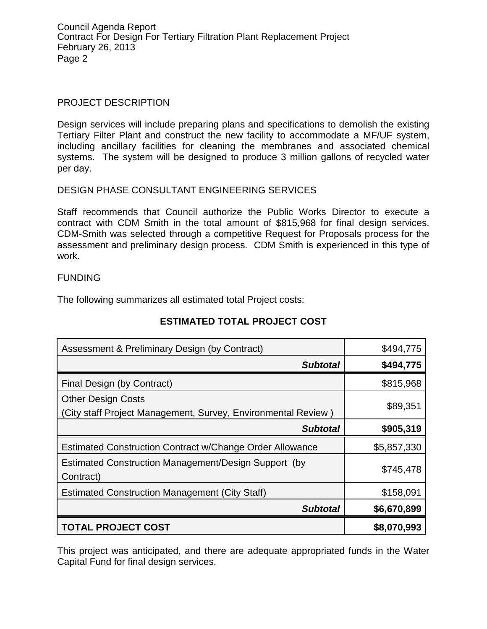Council Agenda Report Contract For Design For Tertiary Filtration Plant Replacement Project February 26, 2013 Page 2

#### PROJECT DESCRIPTION

Design services will include preparing plans and specifications to demolish the existing Tertiary Filter Plant and construct the new facility to accommodate a MF/UF system, including ancillary facilities for cleaning the membranes and associated chemical systems. The system will be designed to produce 3 million gallons of recycled water per day.

# DESIGN PHASE CONSULTANT ENGINEERING SERVICES

Staff recommends that Council authorize the Public Works Director to execute a contract with CDM Smith in the total amount of \$815,968 for final design services. CDM-Smith was selected through a competitive Request for Proposals process for the assessment and preliminary design process. CDM Smith is experienced in this type of work.

#### FUNDING

The following summarizes all estimated total Project costs:

| Assessment & Preliminary Design (by Contract)                                              | \$494,775   |
|--------------------------------------------------------------------------------------------|-------------|
| <b>Subtotal</b>                                                                            | \$494,775   |
| Final Design (by Contract)                                                                 | \$815,968   |
| <b>Other Design Costs</b><br>(City staff Project Management, Survey, Environmental Review) | \$89,351    |
| <b>Subtotal</b>                                                                            | \$905,319   |
| <b>Estimated Construction Contract w/Change Order Allowance</b>                            | \$5,857,330 |
| Estimated Construction Management/Design Support (by<br>Contract)                          | \$745,478   |
| <b>Estimated Construction Management (City Staff)</b>                                      | \$158,091   |
| <b>Subtotal</b>                                                                            | \$6,670,899 |
| <b>TOTAL PROJECT COST</b>                                                                  | \$8,070,993 |

# **ESTIMATED TOTAL PROJECT COST**

This project was anticipated, and there are adequate appropriated funds in the Water Capital Fund for final design services.